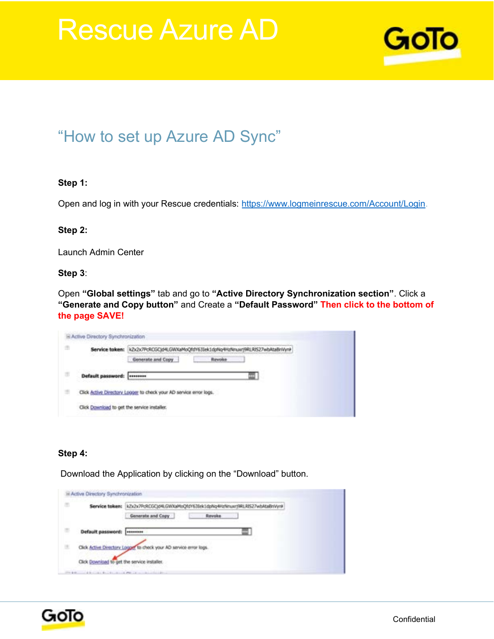# Rescue Azure AD



## "How to set up Azure AD Sync"

#### Step 1:

Open and log in with your Rescue credentials: https://www.logmeinrescue.com/Account/Login.

#### Step 2:

Launch Admin Center

#### Step 3:

Open "Global settings" tab and go to "Active Directory Synchronization section". Click a "Generate and Copy button" and Create a "Default Password" Then click to the bottom of the page SAVE!

| Service token:    | k2x2x7PcRCGCld4LGWXaMoQfdY63Iek3dpNq4Hzfim.orJ9RLRIS27wbAtaBrWynF         |
|-------------------|---------------------------------------------------------------------------|
| ithi an bailtean  | the process of the control of the control<br>Generate and Copy<br>Revolue |
| Default password: |                                                                           |
|                   | Click Active Directory Logger to check your AD service error logs.        |
|                   |                                                                           |

#### Step 4:

Download the Application by clicking on the "Download" button.

| 面<br>Service token: |                              | k2x2x7PcRCGCjd4LGWXaMoQft0Y63Eek1dpNq4HzN                          |                       |  |
|---------------------|------------------------------|--------------------------------------------------------------------|-----------------------|--|
|                     |                              | Gomerate and Copy<br>matematica de la con-                         | Revoka                |  |
|                     | Default password: [ ******** |                                                                    |                       |  |
|                     |                              | Click Active Directory Logger to check your AD service error logs. | 지배 누리 전에 대한 지위로 지하면서? |  |
|                     |                              | Click Download to get the service installer.                       |                       |  |



L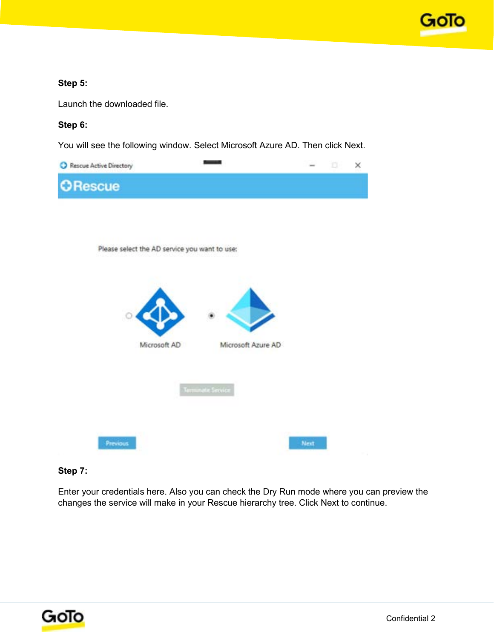

#### Step 5:

Launch the downloaded file.

#### Step 6:

You will see the following window. Select Microsoft Azure AD. Then click Next.

| Rescue Active Directory |                                               | -    | O | × |
|-------------------------|-----------------------------------------------|------|---|---|
| <b>ORescue</b>          |                                               |      |   |   |
|                         | Please select the AD service you want to use: |      |   |   |
|                         |                                               |      |   |   |
|                         |                                               |      |   |   |
| Microsoft AD            | Microsoft Azure AD                            |      |   |   |
|                         | <b>Terminate Service</b>                      |      |   |   |
| Previous                |                                               | Next |   |   |

#### Step 7:

Enter your credentials here. Also you can check the Dry Run mode where you can preview the changes the service will make in your Rescue hierarchy tree. Click Next to continue.

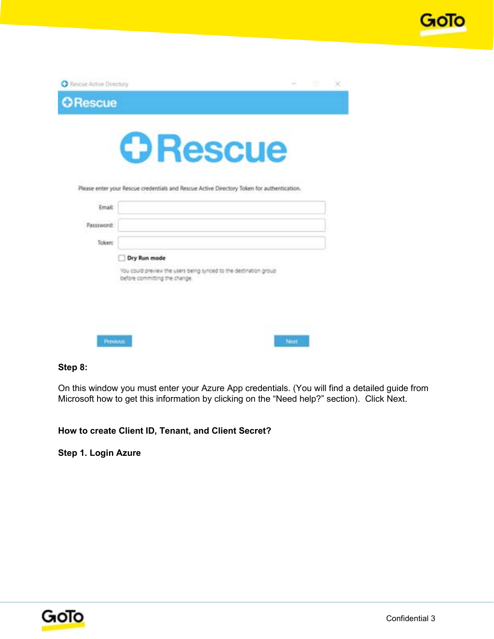

| Rescue Active Directory |                                                                                                    |  |  |
|-------------------------|----------------------------------------------------------------------------------------------------|--|--|
| <b>ORescue</b>          |                                                                                                    |  |  |
|                         |                                                                                                    |  |  |
|                         |                                                                                                    |  |  |
|                         | <b>O</b> Rescue                                                                                    |  |  |
|                         |                                                                                                    |  |  |
|                         | Please enter your Rescue credentials and Rescue Active Directory Token for authentication.         |  |  |
| Email:                  |                                                                                                    |  |  |
| Passsword:              |                                                                                                    |  |  |
| <b>Token:</b>           |                                                                                                    |  |  |
|                         | <b>Dry Run mode</b>                                                                                |  |  |
|                         | You could preview the users being synced to the destination group<br>before committing the change. |  |  |
|                         |                                                                                                    |  |  |
|                         |                                                                                                    |  |  |
|                         |                                                                                                    |  |  |
|                         |                                                                                                    |  |  |

#### Step 8:

On this window you must enter your Azure App credentials. (You will find a detailed guide from Microsoft how to get this information by clicking on the "Need help?" section). Click Next.

How to create Client ID, Tenant, and Client Secret?

Step 1. Login Azure

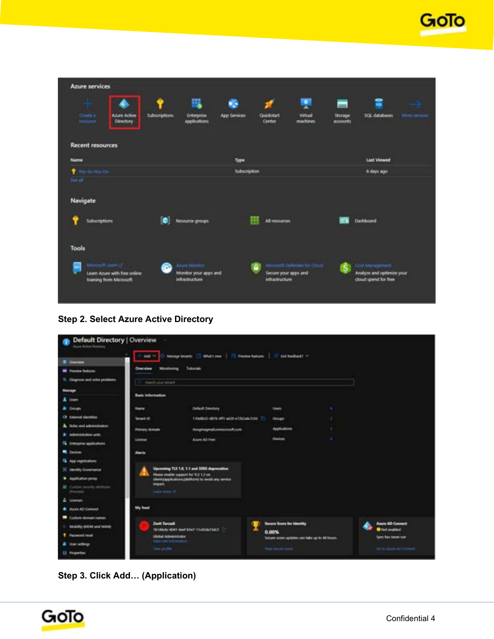



Step 2. Select Azure Active Directory



Step 3. Click Add… (Application)

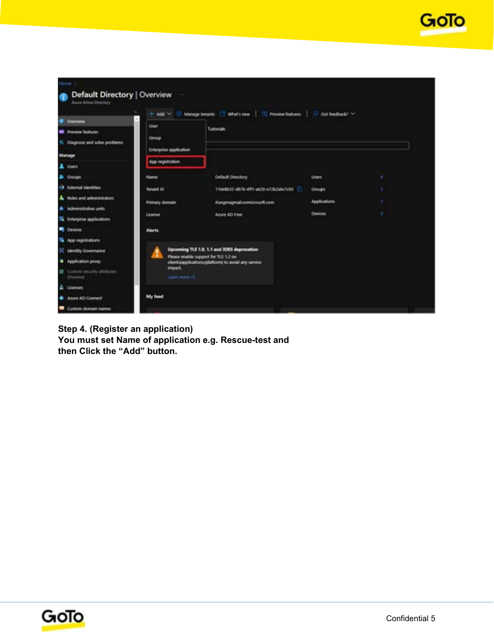

| Default Directory   Overview<br>Appe Active Directory                                         | $+$ Add $-$                                                        | Manage tenants Multiplew   12<br>Preview features                                                                                        | Cot feedback?                  |  |
|-----------------------------------------------------------------------------------------------|--------------------------------------------------------------------|------------------------------------------------------------------------------------------------------------------------------------------|--------------------------------|--|
| <b>B</b> Overview<br><b>Bill</b> Province Instrume:<br>Diagnose and solve problems:<br>Manage | User<br>Group<br><b>Enterprise application</b><br>App registration | Tratmelake                                                                                                                               |                                |  |
| A Users<br><b>A</b> Croups<br><b>EX External Identifies</b>                                   | <b>Name</b><br>Tenant ID                                           | Default Directory<br>110e8b32-d876-4ff1-a620-e72b2a6c7c93                                                                                | <b>Uters</b><br>Groups.        |  |
| A Roles and administrators<br>Administrative units<br><b>La Enterprise applications</b>       | Primary domain<br>License                                          | rlungmagmail.orenicrosoft.com<br>Azure AD Free                                                                                           | <b>Applications</b><br>Devices |  |
| <b>Devices</b><br>4 App regulations                                                           | <b>Alerts</b>                                                      |                                                                                                                                          |                                |  |
| X Identity Governance<br>+ Application proxy.<br>Custom security attributes<br>(Preview)      | impact.<br>Learn more Ct.                                          | Upcoming TLS 1.8, 1.1 and 3DES deprecation<br>Please enable support for TLS 1.2 cm<br>clents(applications/platform) to avoid any service |                                |  |
| <b>G</b> Licenses<br>Azure AD Connect<br>Custom domain names                                  | My feed                                                            |                                                                                                                                          |                                |  |

Step 4. (Register an application) You must set Name of application e.g. Rescue-test and then Click the "Add" button.

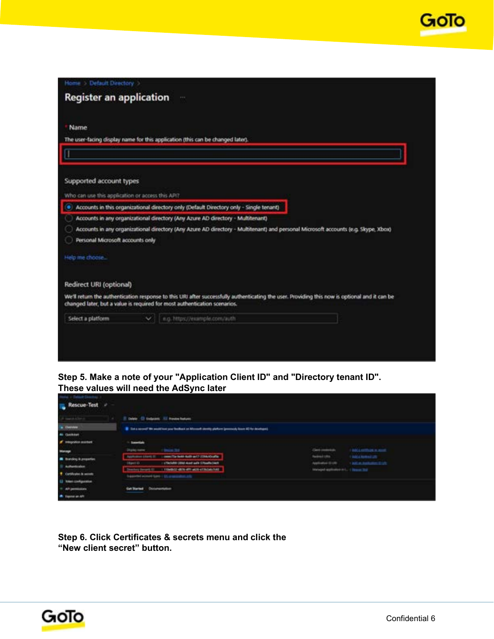

| Home > Default Directory >                                                |                                                                                                                                               |
|---------------------------------------------------------------------------|-----------------------------------------------------------------------------------------------------------------------------------------------|
| <b>Register an application</b>                                            |                                                                                                                                               |
| Name                                                                      |                                                                                                                                               |
|                                                                           | The user-facing display name for this application (this can be changed later).                                                                |
|                                                                           |                                                                                                                                               |
|                                                                           |                                                                                                                                               |
| Supported account types                                                   |                                                                                                                                               |
| Who can use this application or access this API?                          |                                                                                                                                               |
| ۰                                                                         | Accounts in this organizational directory only (Default Directory only - Single tenant)                                                       |
|                                                                           | Accounts in any organizational directory (Any Azure AD directory - Multitenant)                                                               |
|                                                                           | Accounts in any organizational directory (Any Azure AD directory - Multitenant) and personal Microsoft accounts (e.g. Skype, Xbox)            |
| Personal Microsoft accounts only                                          |                                                                                                                                               |
| Help me choose                                                            |                                                                                                                                               |
|                                                                           |                                                                                                                                               |
|                                                                           |                                                                                                                                               |
|                                                                           |                                                                                                                                               |
| Redirect URI (optional)                                                   |                                                                                                                                               |
| changed later, but a value is required for most authentication scenarios. | We'll return the authentication response to this URI after successfully authenticating the user. Providing this now is optional and it can be |
| Select a platform<br>v                                                    | e.g. https://example.com/auth                                                                                                                 |

Step 5. Make a note of your "Application Client ID" and "Directory tenant ID". These values will need the AdSync later

| <b>Innig + Debade Gleaning +</b><br>Rescue Test |                                              |                                                                                                               |                                         |                                |
|-------------------------------------------------|----------------------------------------------|---------------------------------------------------------------------------------------------------------------|-----------------------------------------|--------------------------------|
| A lamb Chry                                     | Il Debte - El Enfacent - Il Previne Baltanti |                                                                                                               |                                         |                                |
| <b>Comme</b>                                    |                                              | The concess of the association providends on Microsoft starting platform (presently Associated for developm). |                                         |                                |
| <b>BL GARANT</b>                                |                                              |                                                                                                               |                                         |                                |
| # Integration assistant                         | <b>Superflick</b>                            |                                                                                                               |                                         |                                |
| Manager                                         | Digital name                                 | 1944 S.F.                                                                                                     | Clark contestato                        | 1984 Ammun n.m.m.              |
| <b>B</b> fearching is properties:               |                                              | Application (clarif) (E.  ) means the best-business (7-2004-b) with                                           | Redeed LAIL                             | 1 INFAMING US                  |
| 11 Authorization                                |                                              |                                                                                                               | Application SLUID                       | 1 July 20 controlled and Start |
|                                                 |                                              | Directory Servery (2) 1970 MADP (\$70) 479 MAR 4776 Call Ford                                                 | Managed application in L. 1 Research of |                                |
| <b>1</b> Curtilizates & secrets                 |                                              | Transmitted and more from 1.500 programmers and                                                               |                                         |                                |
| 13 Noten configuration                          |                                              |                                                                                                               |                                         |                                |
| 11 Afrikanskallen                               | Get Started Documentation                    |                                                                                                               |                                         |                                |
| <b>A</b> Terminal AP                            |                                              |                                                                                                               |                                         |                                |

Step 6. Click Certificates & secrets menu and click the "New client secret" button.

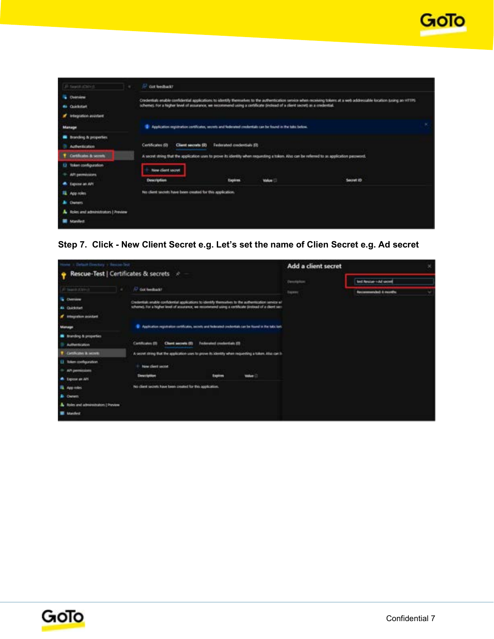

| JP family (Other)                                                                                       | <b>Price leadsale</b>                                                                                                                                                                                                                                                                           |  |
|---------------------------------------------------------------------------------------------------------|-------------------------------------------------------------------------------------------------------------------------------------------------------------------------------------------------------------------------------------------------------------------------------------------------|--|
| <b>Dylvine</b><br><b>ALL Quickstart</b><br>Integration availant                                         | Credentials enable confidential applications to identify themselves to the authentication service when moving tokens at a web addressable location (using an HTTP).<br>schemes. For a higher level of assurance, we recommend using a certificate (instead of a client secret) as a credential. |  |
| Manager                                                                                                 | Application registration invtificates, secrets and federated credentials (an be found in the tate below.                                                                                                                                                                                        |  |
| <b>B</b> branding & properties<br>Authentication<br>Certificates & secrets                              | Federated medermak (O)<br>Contificates (D)<br>Client secrets (0)<br>A secret string that the application uses to prove its identity when requesting a token. Also can be referred to as application persents.                                                                                   |  |
| 12 Solars configuration<br>AIR permissions<br><b>Capose an API</b>                                      | New client secret<br>Description<br><b>Lighted</b><br><b>Walker!</b><br>Secret ID                                                                                                                                                                                                               |  |
| <b>R.</b> App toles<br><b>A</b> Chemers<br><b>Roles and administrators   Preview</b><br><b>Manifest</b> | No client secrets have been created for this application.                                                                                                                                                                                                                                       |  |

Step 7. Click - New Client Secret e.g. Let's set the name of Clien Secret e.g. Ad secret

| Home 1 Default Directory 1 Basican Dol                                            |                                                                                                                                                                                                            | Add a client secret |                       |  |
|-----------------------------------------------------------------------------------|------------------------------------------------------------------------------------------------------------------------------------------------------------------------------------------------------------|---------------------|-----------------------|--|
| Rescue-Test   Certificates & secrets /                                            |                                                                                                                                                                                                            | Desdelon            | ted Neutur-+Ad secret |  |
| A Teach China<br>$\sim$                                                           | <b>IV Got feedback?</b>                                                                                                                                                                                    | Topmer              | Recommended & months  |  |
| <b>S. Cheroles</b><br><b>44 Charlotan</b><br># Integration anistant               | Dedentials enable confidential applications to identify themselves to the authentication service will<br>scheme). For a higher land of assurance, we responded using a continuate protivad of a dient sec- |                     |                       |  |
| Manager                                                                           | P Application registration control cates, secrets and fishingted credentials can be found in the table bot.                                                                                                |                     |                       |  |
| <b>B bunding &amp; properties</b><br>Authentication                               | Technologi credentials 23<br>Cartificates (D)<br>Cherit secrets (3)                                                                                                                                        |                     |                       |  |
| <b>Certificates ALMONTE</b>                                                       | A usured string that the application uses to prove its identity whim respecting a taken. After car to                                                                                                      |                     |                       |  |
| El Token configuration<br><sup>th</sup> API permissions<br><b>A</b> Expose an API | New clevel second<br>Value<br><b>Description</b><br>lapim                                                                                                                                                  |                     |                       |  |
| <b>IL Approved</b><br><b>A</b> Owners                                             | No client secrets have been created for this application.                                                                                                                                                  |                     |                       |  |
| A finite and administration [ Porcess                                             |                                                                                                                                                                                                            |                     |                       |  |
| <b>B.</b> Interfect                                                               |                                                                                                                                                                                                            |                     |                       |  |

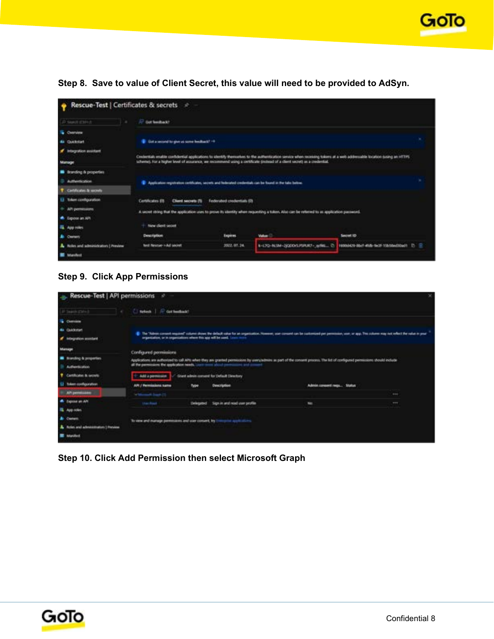

Step 8. Save to value of Client Secret, this value will need to be provided to AdSyn.



Step 9. Click App Permissions

| Rescue-Test   API permissions #                                                     |                                                                               |            |                                                                                                                                      |                                                                                                                                                                                                   |                    |
|-------------------------------------------------------------------------------------|-------------------------------------------------------------------------------|------------|--------------------------------------------------------------------------------------------------------------------------------------|---------------------------------------------------------------------------------------------------------------------------------------------------------------------------------------------------|--------------------|
| All Sweets (Calve)                                                                  | <b>Referels   IV Got freeBlack!</b>                                           |            |                                                                                                                                      |                                                                                                                                                                                                   |                    |
| Convinte<br><b>44 Guidement</b><br>Integration associant                            |                                                                               |            | organization, or in organizations where this app will be used. Loom more                                                             | The "Menis consent required" column down the default sake for an organization. However, sure consent can be customized per permission, uses or app. This column may not reflect the value in your |                    |
| Manage<br><b>B</b> Numbog & properties<br>Authoritication<br>Cartificates & secrets | Configured permissions<br>Add a permission                                    |            | all the permissions the application beach. Learn times about promissions and assumed<br>Grant administrational for Default Directory | Applications are authorized to call APIs when they are granted permission by uservadmins as part of the consent process. The list of configured permissions should include                        |                    |
| El Token configuration<br>API permissions                                           | <b>AR / Permissions hame</b>                                                  | Type       | Description                                                                                                                          | Admin.competitivega Maltas                                                                                                                                                                        |                    |
| <b>A</b> Expose an API<br><b>IL App soles</b>                                       | whitework Days (1)<br>Links Bread                                             | thelegated | Sign in and read year profile                                                                                                        | <b>MAY</b>                                                                                                                                                                                        | 111<br><b>TIME</b> |
| <b>A</b> Current<br>A Foles and administrators   Preview<br><b>Manifest</b>         | To sink and manage permissions and star consent, by distinguist applications. |            |                                                                                                                                      |                                                                                                                                                                                                   |                    |

Step 10. Click Add Permission then select Microsoft Graph

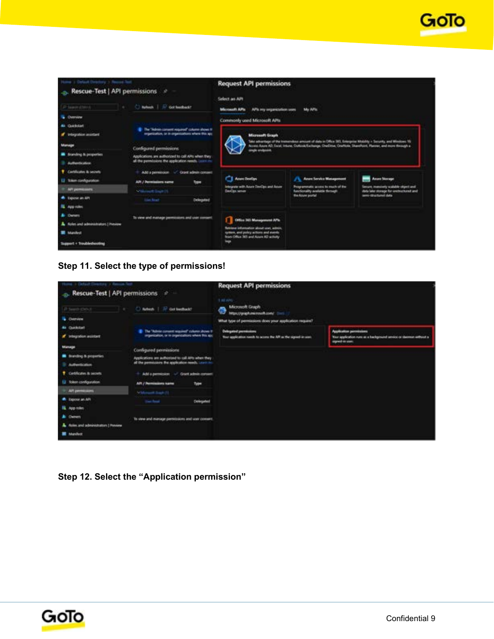



Step 11. Select the type of permissions!



Step 12. Select the "Application permission"

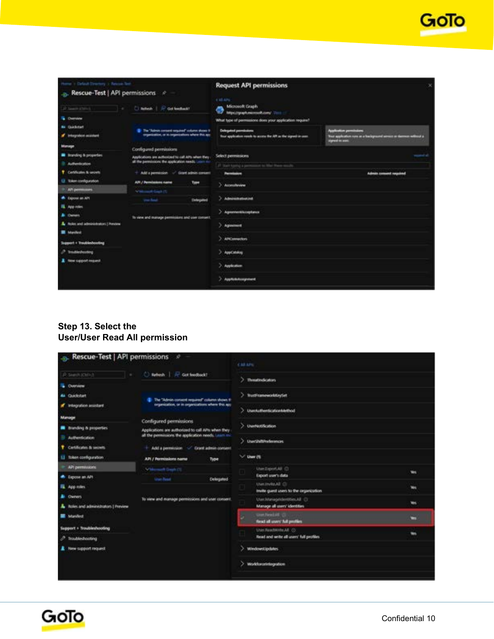



#### Step 13. Select the User/User Read All permission

| Rescue-Test   API permissions          | - 9                                                  | <b>CARAPU</b>                                              |             |  |
|----------------------------------------|------------------------------------------------------|------------------------------------------------------------|-------------|--|
| A Sweet (Child)<br>×                   | Sebeds   F Got feedback?                             | 2 Threativdicators                                         |             |  |
| <b>Dyenview</b>                        |                                                      |                                                            |             |  |
| <b>44 Quicklast</b>                    | The "Admin content required" column shows the        | > trust/rameworkstey/set                                   |             |  |
| # Integration assistant                | organization, or in organizations where this app     | > UserAuthenticationMethod                                 |             |  |
| Manager                                | Configured permissions                               |                                                            |             |  |
| <b>Branding &amp; properties</b>       | Applications are authorized to call APs when they    | > UserNotification                                         |             |  |
| <b>B</b> Authentication                | all the permissions the application needs. Learn to: | > UserShiftPreferences                                     |             |  |
| T Certificates & secrets               | Add a permission / Crant admin consent               |                                                            |             |  |
| El Token configuration                 | API / Permissions name<br><b>Type</b>                | V User (%)                                                 |             |  |
| API permitations                       | Williamson Deph (7)                                  | User-Export,AB (2)                                         | w           |  |
| <b>A</b> Expose an API                 | <b>Green Bank</b><br>Delogated                       | Export user's data                                         |             |  |
| <b>IL App roles</b>                    |                                                      | UserJiviteAll Cl<br>invite guest users to the organization | w           |  |
| <b>B</b> Owners                        | To view and morskge permissions and user consent.    | Uter:Managetdertikes.All (3)                               |             |  |
| A It lies and administrators   Preview |                                                      | Manage all users' identities                               | <b>Mrs.</b> |  |
| <b>M</b> Manifest                      |                                                      | comfeelat (i):<br>final all users' full profiles.          | ▬           |  |
| Support + Traubleshooting              |                                                      | Use ReadWrite AE (D)                                       | t           |  |
| P Traubleshooting                      |                                                      | Read and write all users' full profiles                    |             |  |
| <b>A</b> New support request           |                                                      | <b>WindowsUpdates</b>                                      |             |  |
|                                        |                                                      | Worldorocintegration                                       |             |  |

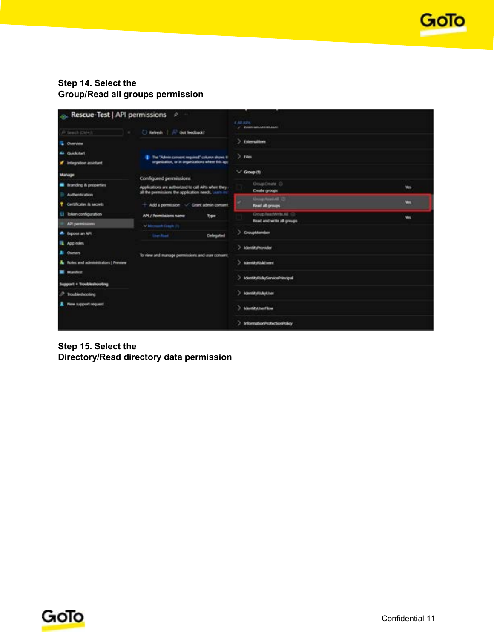

#### Step 14. Select the Group/Read all groups permission

| Rescue-Test   API permissions                                 | is.                                                                                                       |                                                                     |  |
|---------------------------------------------------------------|-----------------------------------------------------------------------------------------------------------|---------------------------------------------------------------------|--|
| A Seech (Other)<br>$\sim$                                     | Refired Cat feedback?<br>$\circ$                                                                          | 4.88.826<br>/ Crostman, Lake Mil. Multi                             |  |
| <b>Comment</b>                                                |                                                                                                           | ) Externalizes                                                      |  |
| <b>ALL Charlestant</b><br><b>A</b> integration assistant      | The "Admin concert required" column shows it<br>organization, or in imperizations where this ap-          | $>$ Films                                                           |  |
| Manage                                                        | Configured permissions                                                                                    | $\vee$ Group (1)                                                    |  |
| <b>B</b> firanding & properties<br>Authentication             | Applications are authorized to call APs when they<br>all the permissions the application needs, Lisans in | Droug Create Ci<br>Ws.<br>Onste groups                              |  |
| <b>T</b> Certificates & secrets                               | - Add a permission - Grant admin consent                                                                  | Group Availabil (3)<br><b>Vest</b><br><b>Final all groups</b>       |  |
| <b>Iblem configuration</b><br>1.1<br><b>API pertraitainmy</b> | API / Permissions name<br>Type                                                                            | Group.feadWrite.AE (2)<br><b>Vest</b><br>Read and write all groups. |  |
| E Expose an API                                               | Ar Meynamle Grayin (7)<br>Delegated<br><b>Liver Road</b>                                                  | GroupMember                                                         |  |
| <b>IL App roles</b>                                           |                                                                                                           | > IdentifyProvider                                                  |  |
| <b>A</b> Owners<br>A light and administrators ( Preview       | To view and manage permissions and user consent                                                           | 3. IdentifyRiddiwerd                                                |  |
| <b>Manfest</b>                                                |                                                                                                           | IdentityRide/ServicePrincipal                                       |  |
| Support + Troubleshooting                                     |                                                                                                           |                                                                     |  |
| $P$ Touble Proofing                                           |                                                                                                           | Identify@nlightist                                                  |  |
| A New support request                                         |                                                                                                           | blentifytherflow                                                    |  |
|                                                               |                                                                                                           | information/natection/rakey                                         |  |

#### Step 15. Select the Directory/Read directory data permission

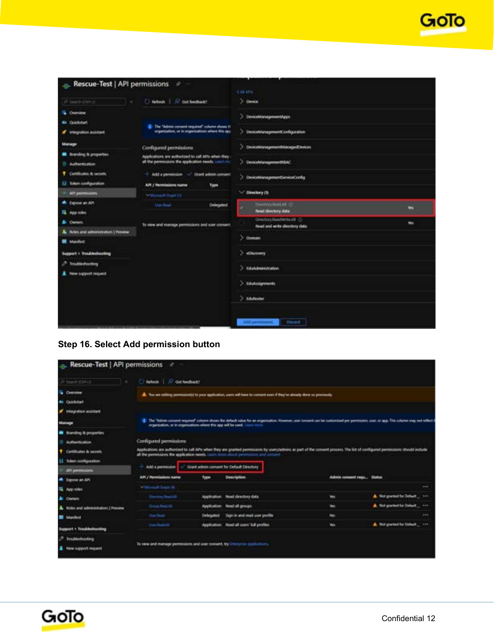

| Rescue-Test   API permissions        | $\mathcal{P}$                                      |                                                               |   |
|--------------------------------------|----------------------------------------------------|---------------------------------------------------------------|---|
|                                      |                                                    | 4.48.48%                                                      |   |
| <b>P. Lewch (Chil+A)</b><br>×        | C Refireds   R Got foreback?                       | $>$ Device                                                    |   |
| <b>L</b> Overview                    |                                                    | DeviceManagementApps                                          |   |
| <b>64 Chickstant</b>                 | The "Admin connect required" column shows in       |                                                               |   |
| <b>a</b> letterpration assistant     | organization, or in organizations where this app.  | > DeviceManagementConfiguration                               |   |
| Manage                               | Configured permissions                             | > DevonVoragementManagedOevices                               |   |
| B. Branding & properties             | Applications are authorized to call APs when they  |                                                               |   |
| 3 Authentication                     | all the permissions the application needs, seem ma | > DeviceManagementRBAC                                        |   |
| T Certificates & secrets             | Add a permission V Crant admin consent             | > DeviceManagementSenviceConfig                               |   |
| (2) Token configuration              | AIR / Permissions name<br>Type                     |                                                               |   |
| <b>API permessions</b>               | <b>V Memoiri Gapt ITI</b>                          | $\vee$ Directory (f)                                          |   |
| <sup>4</sup> Expose an API           | Line Road<br>Delegated                             | Directory/Anistal (3)                                         | ▬ |
| Fig. App roles                       |                                                    | <b>Read directory data</b>                                    |   |
| <b>B</b> Chemers                     | To view and manage permissions and user consent.   | Directory-Awayteene.Adr  (3)<br>Read and write directory data | ł |
| A Roles and administrators   Preview |                                                    |                                                               |   |
| <b>M</b> Manifest                    |                                                    | > Domain                                                      |   |
| Support + Troubleshooting            |                                                    | 3 allegancy                                                   |   |
| <sup>2</sup> Troubleshooting         |                                                    |                                                               |   |
| <b>E</b> New support request         |                                                    | > EduAdministration                                           |   |
|                                      |                                                    | > Idulusgenerit                                               |   |
|                                      |                                                    | > Edulation                                                   |   |
|                                      |                                                    |                                                               |   |
|                                      |                                                    | Add personnels<br>Dacard                                      |   |
|                                      |                                                    |                                                               |   |

Step 16. Select Add permission button

| Rescue-Test   API permissions                           | - 4                                                                        |                                                                           |                                                                                                                             |                                                                                                                                                                                            |                                |       |
|---------------------------------------------------------|----------------------------------------------------------------------------|---------------------------------------------------------------------------|-----------------------------------------------------------------------------------------------------------------------------|--------------------------------------------------------------------------------------------------------------------------------------------------------------------------------------------|--------------------------------|-------|
| JD Search (Cliftud)                                     | <b>Referrir   Fr Got freedback?</b>                                        |                                                                           |                                                                                                                             |                                                                                                                                                                                            |                                |       |
| <b>Comview</b><br><b>44 Confester</b>                   |                                                                            |                                                                           | A. You are editing permanently) to your application, users will have to consent even if they've already done up previously. |                                                                                                                                                                                            |                                |       |
| <b>T</b> integration assistant                          |                                                                            |                                                                           |                                                                                                                             | (B) The "Admin consent required" cultures shows the default value for an organization. Finances user competition be customized par permission, user, or app. This column may not reflect t |                                |       |
| Manage                                                  |                                                                            | crownication, or in organizations where this app will be used. I non more |                                                                                                                             |                                                                                                                                                                                            |                                |       |
| <b>B</b> Haanding & properties<br><b>Authentication</b> | Configured permissions                                                     |                                                                           |                                                                                                                             |                                                                                                                                                                                            |                                |       |
| Certificates & secrets                                  |                                                                            |                                                                           | all the permissions the application needs: (asin tress about permissions and consult)                                       | Applications are authorized to call APs when they are granted permissions by userstadmins as part of the consent process. The list of configured permissions should exclude                |                                |       |
| El Nière configuration                                  |                                                                            |                                                                           |                                                                                                                             |                                                                                                                                                                                            |                                |       |
| <b>API permissions</b>                                  | Add a permission                                                           | Grant admin consent for Default Directory                                 |                                                                                                                             |                                                                                                                                                                                            |                                |       |
| <sup>4</sup> Expose an API                              | API / Permissions name                                                     | Type                                                                      | <b>Chescription</b>                                                                                                         | Admin consent require Matus                                                                                                                                                                |                                |       |
| <b>FB</b> App rotes                                     | <b>Schlesswift Graph (6)</b>                                               |                                                                           |                                                                                                                             |                                                                                                                                                                                            |                                | 444   |
| <b>A.</b> Owner:                                        | Givening Read All                                                          |                                                                           | Application Need directory data                                                                                             | <b>Yes</b>                                                                                                                                                                                 | A. Not granted for Default     |       |
| A Toles and administrators   Preview                    | <b>Group Appl.id</b>                                                       |                                                                           | Application Need all droups                                                                                                 | <b>Well</b>                                                                                                                                                                                | A Not granted for Delault      |       |
| <b>E Manifest</b>                                       | <b>Days Board</b>                                                          | Delegated                                                                 | Sign in and read user profile                                                                                               | No.                                                                                                                                                                                        |                                | 44.44 |
| <b>Turport + Traubleshooting</b>                        | <b>Una Small</b>                                                           |                                                                           | Application Read all users' full profiles                                                                                   | <b>Voice</b>                                                                                                                                                                               | A. Not granted for Detault 111 |       |
| <b>Troubleshooting</b>                                  |                                                                            |                                                                           |                                                                                                                             |                                                                                                                                                                                            |                                |       |
| <b>A</b> New support request                            | To view and manage permissions and user consent, by Universe spelicistics. |                                                                           |                                                                                                                             |                                                                                                                                                                                            |                                |       |

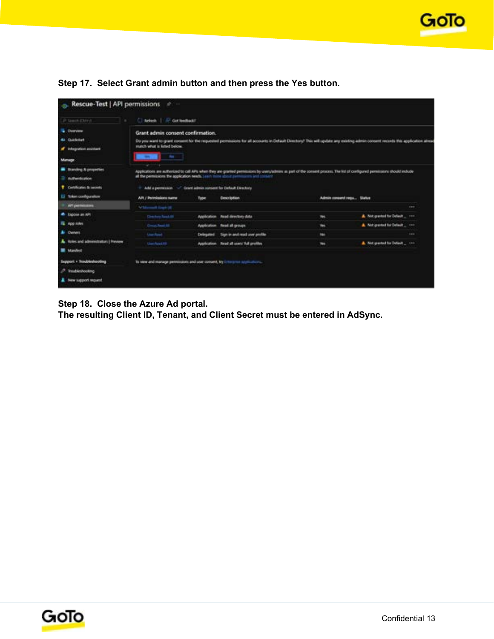

| Rescue-Test   API permissions                                                              | and an                                                                          |             |                                                                                                                                                                                                                                                                      |                           |                                  |             |
|--------------------------------------------------------------------------------------------|---------------------------------------------------------------------------------|-------------|----------------------------------------------------------------------------------------------------------------------------------------------------------------------------------------------------------------------------------------------------------------------|---------------------------|----------------------------------|-------------|
| P Seech CM+3                                                                               | <b>Reback   IP Got foreback?</b>                                                |             |                                                                                                                                                                                                                                                                      |                           |                                  |             |
| <b>U</b> Dervice<br><b>44 Cuickstart</b><br><b>If</b> Integration assistant<br>Manage      | Grant admin consent confirmation.<br>match what is listed below.<br>Apr.        |             | Do you want to grant consent for the requested permissions for all accounts in Default Directory? This will spullet any existing admin consent records this application almay                                                                                        |                           |                                  |             |
| <b>B</b> Blanding & properties<br><b>Authentication</b><br><b>T</b> Cartificates & secrets | $\sim$<br>- AAI a permission - Grant administration Default Directory           |             | Applications are authorized to call APs when they are granted permissions by user unliming as part of the consent process. The list of configured permissions should include<br>all the permissions the application needs, cases many about permissions and interact |                           |                                  |             |
| El Token combigurations                                                                    | AIR / Permissions name                                                          | Topper      | <b>Description</b>                                                                                                                                                                                                                                                   | Admin concent regu Status |                                  |             |
| API permittative                                                                           | 34 Morrowell Graph (B)                                                          |             |                                                                                                                                                                                                                                                                      |                           |                                  | \$100       |
| <b>B</b> Exposurance                                                                       | <b>Clearboy Road AV</b>                                                         |             | Application Nead-developy data                                                                                                                                                                                                                                       | W1                        | A. Not granted for Default 1111  |             |
| <b>IL App soles</b>                                                                        | Circula Regulation                                                              |             | Application fixed all groups                                                                                                                                                                                                                                         | W11                       | A. Not granted for Default       |             |
| <b>A</b> Cener                                                                             | <b>Court Banel</b>                                                              | Delinquised | Sign in and read user profile                                                                                                                                                                                                                                        | <b>No</b>                 |                                  | <b>Bank</b> |
| A Luke and administrators   Preview<br><b>M</b> Manhot                                     | User Paris Life                                                                 |             | Application Thrust all users' full profiles                                                                                                                                                                                                                          | m                         | A. Not granted for Default _ new |             |
| <b>Support . Traubleshooting</b><br>Troublin/hooting                                       | To very and manage permissions and coar concert, try interprene squiricitizing. |             |                                                                                                                                                                                                                                                                      |                           |                                  |             |
| <b>New support request</b>                                                                 |                                                                                 |             |                                                                                                                                                                                                                                                                      |                           |                                  |             |

Step 17. Select Grant admin button and then press the Yes button.

Step 18. Close the Azure Ad portal.

The resulting Client ID, Tenant, and Client Secret must be entered in AdSync.

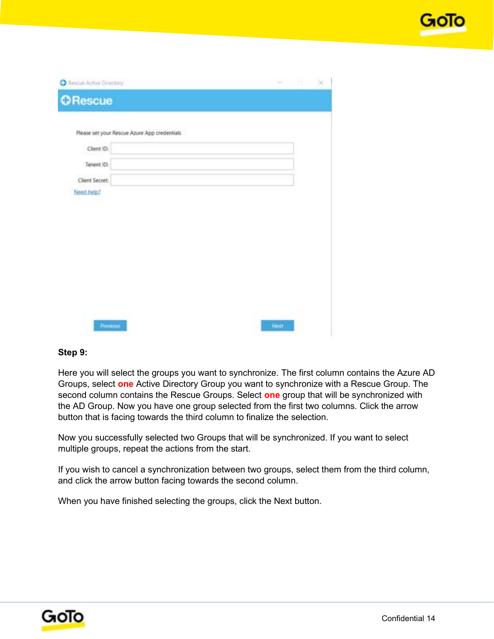| Rescue Active Directory                      | n |  |
|----------------------------------------------|---|--|
| <b>ORescue</b>                               |   |  |
|                                              |   |  |
| Please set your Rescue Azure App credentials |   |  |
| Client ID:                                   |   |  |
| Tarient ID:                                  |   |  |
| Client Secret:                               |   |  |
| Need help?                                   |   |  |
|                                              |   |  |
|                                              |   |  |
|                                              |   |  |
|                                              |   |  |
|                                              |   |  |
|                                              |   |  |
|                                              |   |  |
|                                              |   |  |
|                                              |   |  |
|                                              |   |  |
|                                              |   |  |

#### Step 9:

Here you will select the groups you want to synchronize. The first column contains the Azure AD Groups, select one Active Directory Group you want to synchronize with a Rescue Group. The second column contains the Rescue Groups. Select one group that will be synchronized with the AD Group. Now you have one group selected from the first two columns. Click the arrow button that is facing towards the third column to finalize the selection.

Now you successfully selected two Groups that will be synchronized. If you want to select multiple groups, repeat the actions from the start.

If you wish to cancel a synchronization between two groups, select them from the third column, and click the arrow button facing towards the second column.

When you have finished selecting the groups, click the Next button.

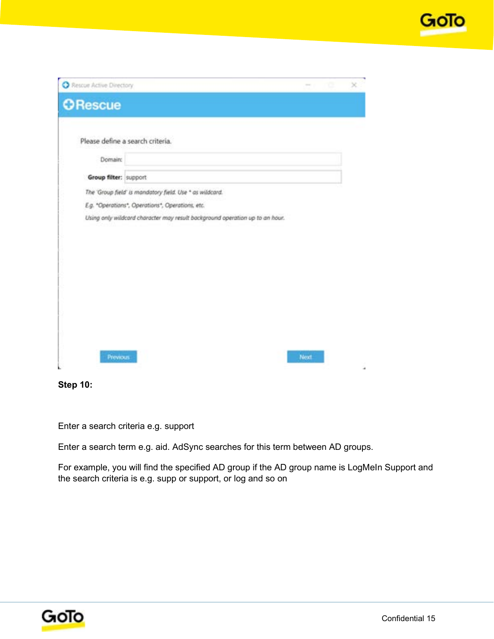

|                       | Rescue Active Directory                                  |  | × |
|-----------------------|----------------------------------------------------------|--|---|
| <b>O</b> Rescue       |                                                          |  |   |
|                       | Please define a search criteria.                         |  |   |
| Domain:               |                                                          |  |   |
| Group filter: support |                                                          |  |   |
|                       | The 'Group field' is mandatory field. Use * as wildcard. |  |   |
|                       | Eg. *Operations*, Operations*, Operations, etc.          |  |   |
|                       |                                                          |  |   |
|                       |                                                          |  |   |
|                       |                                                          |  |   |
|                       |                                                          |  |   |
|                       |                                                          |  |   |

Step 10:

Enter a search criteria e.g. support

Enter a search term e.g. aid. AdSync searches for this term between AD groups.

For example, you will find the specified AD group if the AD group name is LogMeIn Support and the search criteria is e.g. supp or support, or log and so on

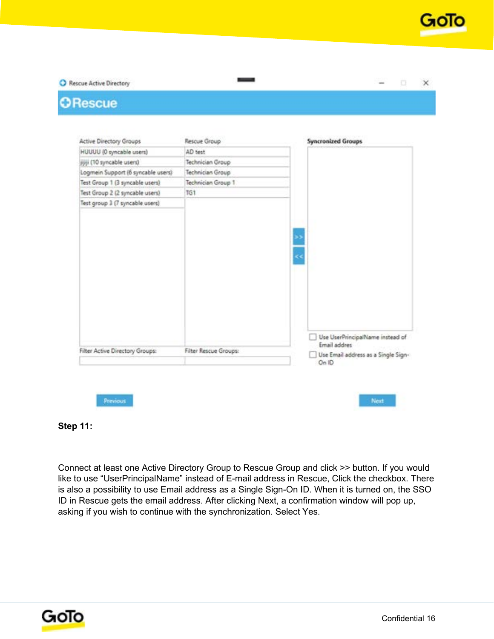

 $\times$ 

|  | Rescue Active Directory |  |
|--|-------------------------|--|
|  |                         |  |

### ORescue

| Active Directory Groups            | Rescue Group          | <b>Syncronized Groups</b>                                                               |
|------------------------------------|-----------------------|-----------------------------------------------------------------------------------------|
| HUUUU (0 syncable users)           | AD test               |                                                                                         |
| jijiji (10 syncable users)         | Technician Group      |                                                                                         |
| Logmein Support (6 syncable users) | Technician Group      |                                                                                         |
| Test Group 1 (3 syncable users)    | Technician Group 1    |                                                                                         |
| Test Group 2 (2 syncable users)    | TG1                   |                                                                                         |
| Test group 3 (7 syncable users)    |                       | ×                                                                                       |
| Filter Active Directory Groups:    | Filter Rescue Groups: | Use UserPrincipalName instead of<br>Email addres<br>Use Email address as a Single Sign- |



Connect at least one Active Directory Group to Rescue Group and click >> button. If you would like to use "UserPrincipalName" instead of E-mail address in Rescue, Click the checkbox. There is also a possibility to use Email address as a Single Sign-On ID. When it is turned on, the SSO ID in Rescue gets the email address. After clicking Next, a confirmation window will pop up, asking if you wish to continue with the synchronization. Select Yes.

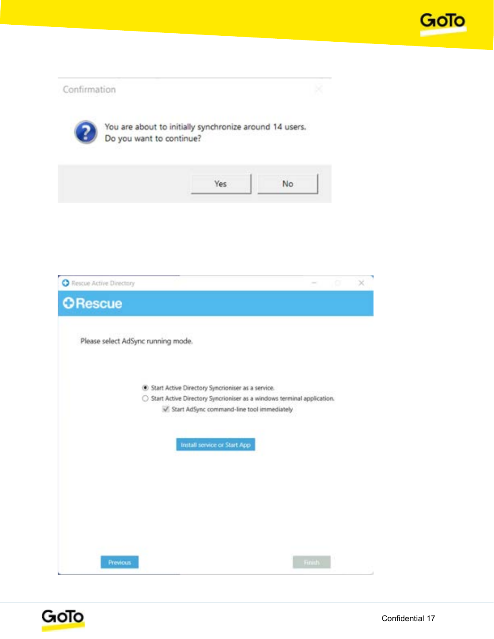

| Confirmation   |                                    |                                                                                                                        |    |         |   |
|----------------|------------------------------------|------------------------------------------------------------------------------------------------------------------------|----|---------|---|
|                | Do you want to continue?           | You are about to initially synchronize around 14 users.                                                                |    |         |   |
|                |                                    | Yes                                                                                                                    | No |         |   |
|                |                                    |                                                                                                                        |    |         |   |
| <b>ORescue</b> | Rescue Active Directory            |                                                                                                                        |    | o       | × |
|                | Please select AdSync running mode. |                                                                                                                        |    |         |   |
|                |                                    |                                                                                                                        |    |         |   |
|                |                                    | Start Active Directory Syncrioniser as a service.                                                                      |    |         |   |
|                |                                    | ○ Start Active Directory Syncrioniser as a windows terminal application.<br>Start AdSync command-line tool immediately |    |         |   |
|                |                                    |                                                                                                                        |    |         |   |
|                |                                    |                                                                                                                        |    |         |   |
|                |                                    | Install service or Start App                                                                                           |    |         |   |
|                |                                    |                                                                                                                        |    |         |   |
|                |                                    |                                                                                                                        |    |         |   |
|                |                                    |                                                                                                                        |    |         |   |
|                |                                    |                                                                                                                        |    |         |   |
|                |                                    |                                                                                                                        |    |         |   |
|                |                                    |                                                                                                                        |    |         |   |
|                | Previous                           |                                                                                                                        |    | Finish: |   |

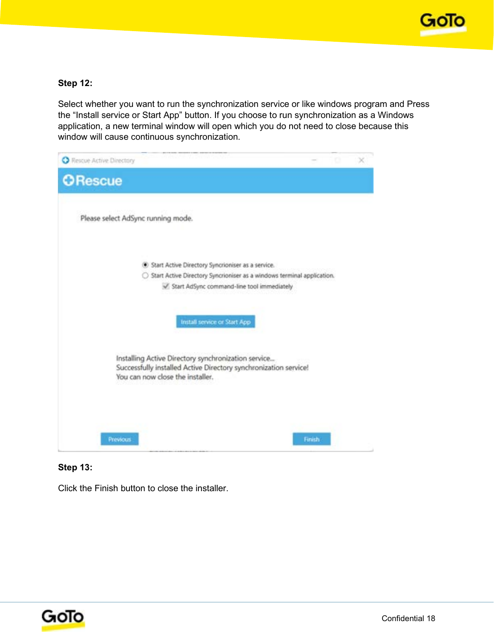

#### Step 12:

Select whether you want to run the synchronization service or like windows program and Press the "Install service or Start App" button. If you choose to run synchronization as a Windows application, a new terminal window will open which you do not need to close because this window will cause continuous synchronization.

| Rescue Active Directory                                                                                                                                     |        | × |
|-------------------------------------------------------------------------------------------------------------------------------------------------------------|--------|---|
| <b>ORescue</b>                                                                                                                                              |        |   |
| Please select AdSync running mode.                                                                                                                          |        |   |
| Start Active Directory Syncrioniser as a service.<br>○ Start Active Directory Syncrioniser as a windows terminal application.                               |        |   |
| Start AdSync command-line tool immediately                                                                                                                  |        |   |
| Install service or Start App.                                                                                                                               |        |   |
| Installing Active Directory synchronization service<br>Successfully installed Active Directory synchronization service!<br>You can now close the installer. |        |   |
|                                                                                                                                                             |        |   |
| Previous                                                                                                                                                    | Finish |   |

#### Step 13:

Click the Finish button to close the installer.

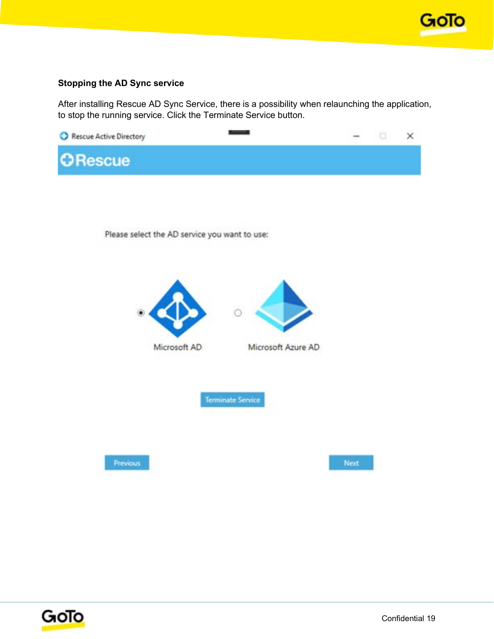#### Stopping the AD Sync service

After installing Rescue AD Sync Service, there is a possibility when relaunching the application, to stop the running service. Click the Terminate Service button.